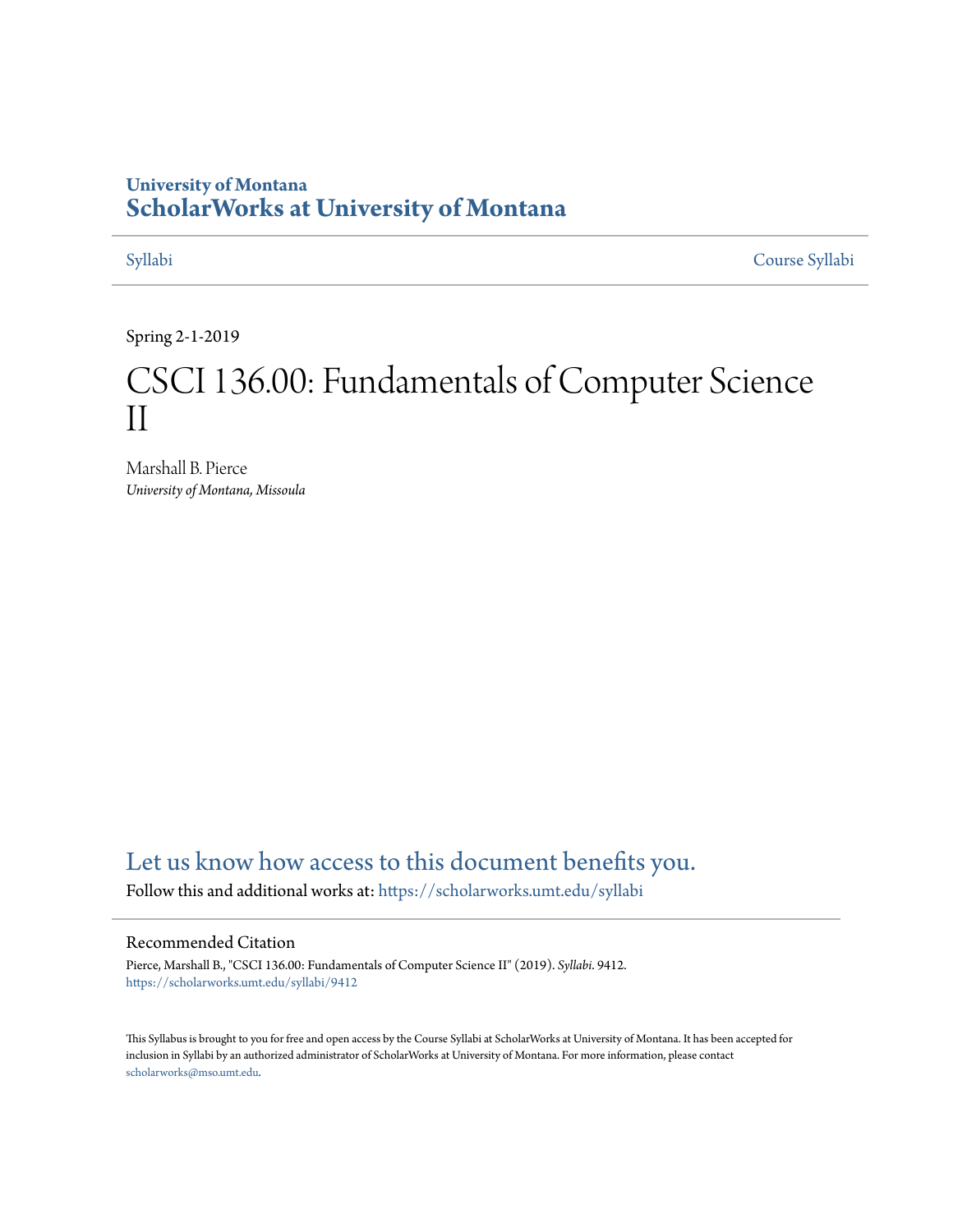#### **University of Montana [ScholarWorks at University of Montana](https://scholarworks.umt.edu?utm_source=scholarworks.umt.edu%2Fsyllabi%2F9412&utm_medium=PDF&utm_campaign=PDFCoverPages)**

[Syllabi](https://scholarworks.umt.edu/syllabi?utm_source=scholarworks.umt.edu%2Fsyllabi%2F9412&utm_medium=PDF&utm_campaign=PDFCoverPages) [Course Syllabi](https://scholarworks.umt.edu/course_syllabi?utm_source=scholarworks.umt.edu%2Fsyllabi%2F9412&utm_medium=PDF&utm_campaign=PDFCoverPages)

Spring 2-1-2019

# CSCI 136.00: Fundamentals of Computer Science II

Marshall B. Pierce *University of Montana, Missoula*

### [Let us know how access to this document benefits you.](https://goo.gl/forms/s2rGfXOLzz71qgsB2)

Follow this and additional works at: [https://scholarworks.umt.edu/syllabi](https://scholarworks.umt.edu/syllabi?utm_source=scholarworks.umt.edu%2Fsyllabi%2F9412&utm_medium=PDF&utm_campaign=PDFCoverPages)

#### Recommended Citation

Pierce, Marshall B., "CSCI 136.00: Fundamentals of Computer Science II" (2019). *Syllabi*. 9412. [https://scholarworks.umt.edu/syllabi/9412](https://scholarworks.umt.edu/syllabi/9412?utm_source=scholarworks.umt.edu%2Fsyllabi%2F9412&utm_medium=PDF&utm_campaign=PDFCoverPages)

This Syllabus is brought to you for free and open access by the Course Syllabi at ScholarWorks at University of Montana. It has been accepted for inclusion in Syllabi by an authorized administrator of ScholarWorks at University of Montana. For more information, please contact [scholarworks@mso.umt.edu](mailto:scholarworks@mso.umt.edu).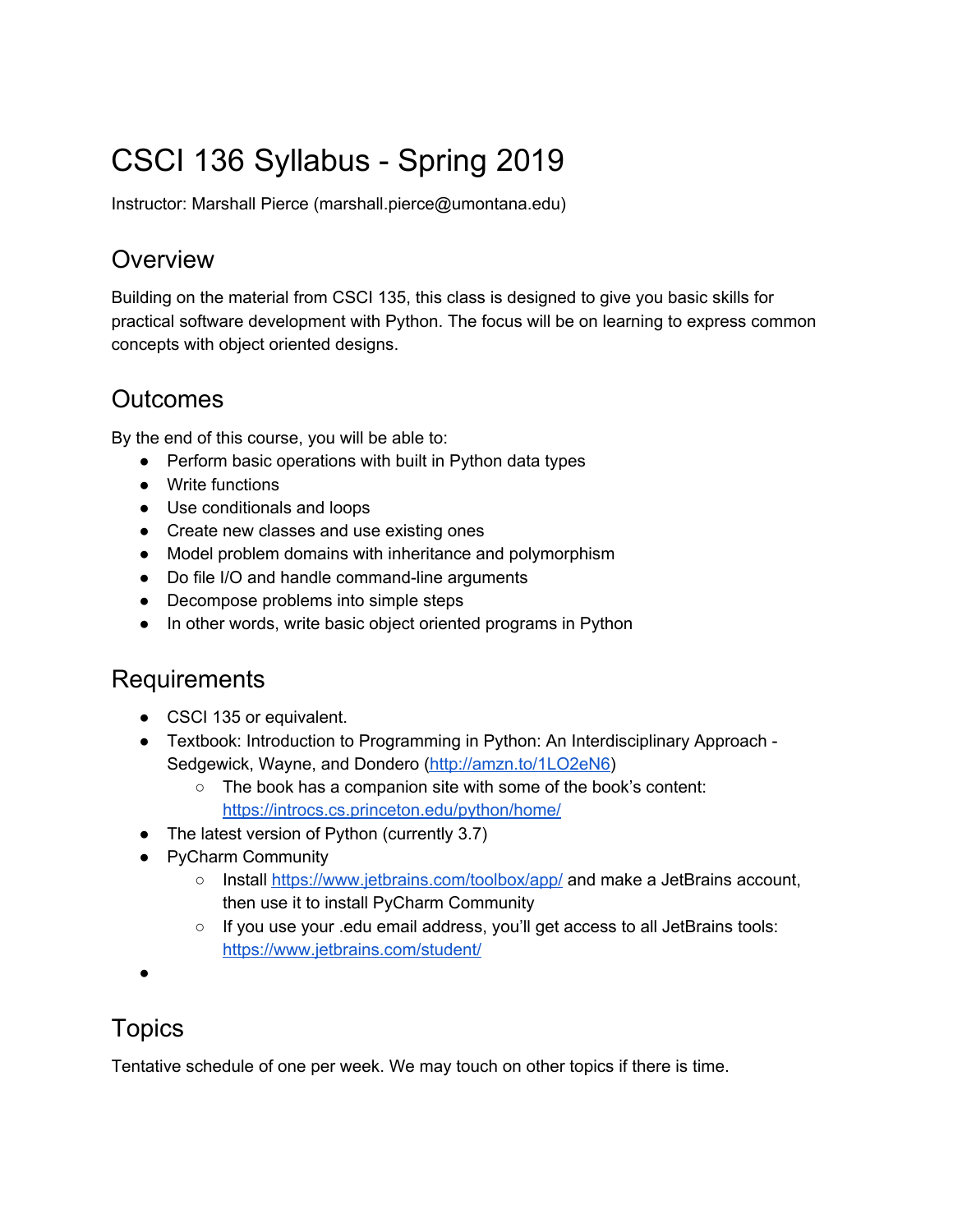# CSCI 136 Syllabus - Spring 2019

Instructor: Marshall Pierce (marshall.pierce@umontana.edu)

## **Overview**

Building on the material from CSCI 135, this class is designed to give you basic skills for practical software development with Python. The focus will be on learning to express common concepts with object oriented designs.

# **Outcomes**

By the end of this course, you will be able to:

- Perform basic operations with built in Python data types
- Write functions
- Use conditionals and loops
- Create new classes and use existing ones
- Model problem domains with inheritance and polymorphism
- Do file I/O and handle command-line arguments
- Decompose problems into simple steps
- In other words, write basic object oriented programs in Python

### Requirements

- CSCI 135 or equivalent.
- Textbook: Introduction to Programming in Python: An Interdisciplinary Approach Sedgewick, Wayne, and Dondero (http://amzn.to/1LO2eN6)
	- The book has a companion site with some of the book's content: https://introcs.cs.princeton.edu/python/home/
- The latest version of Python (currently 3.7)
- PyCharm Community
	- Install https://www.jetbrains.com/toolbox/app/ and make a JetBrains account, then use it to install PyCharm Community
	- If you use your .edu email address, you'll get access to all JetBrains tools: https://www.jetbrains.com/student/
- ●

# **Topics**

Tentative schedule of one per week. We may touch on other topics if there is time.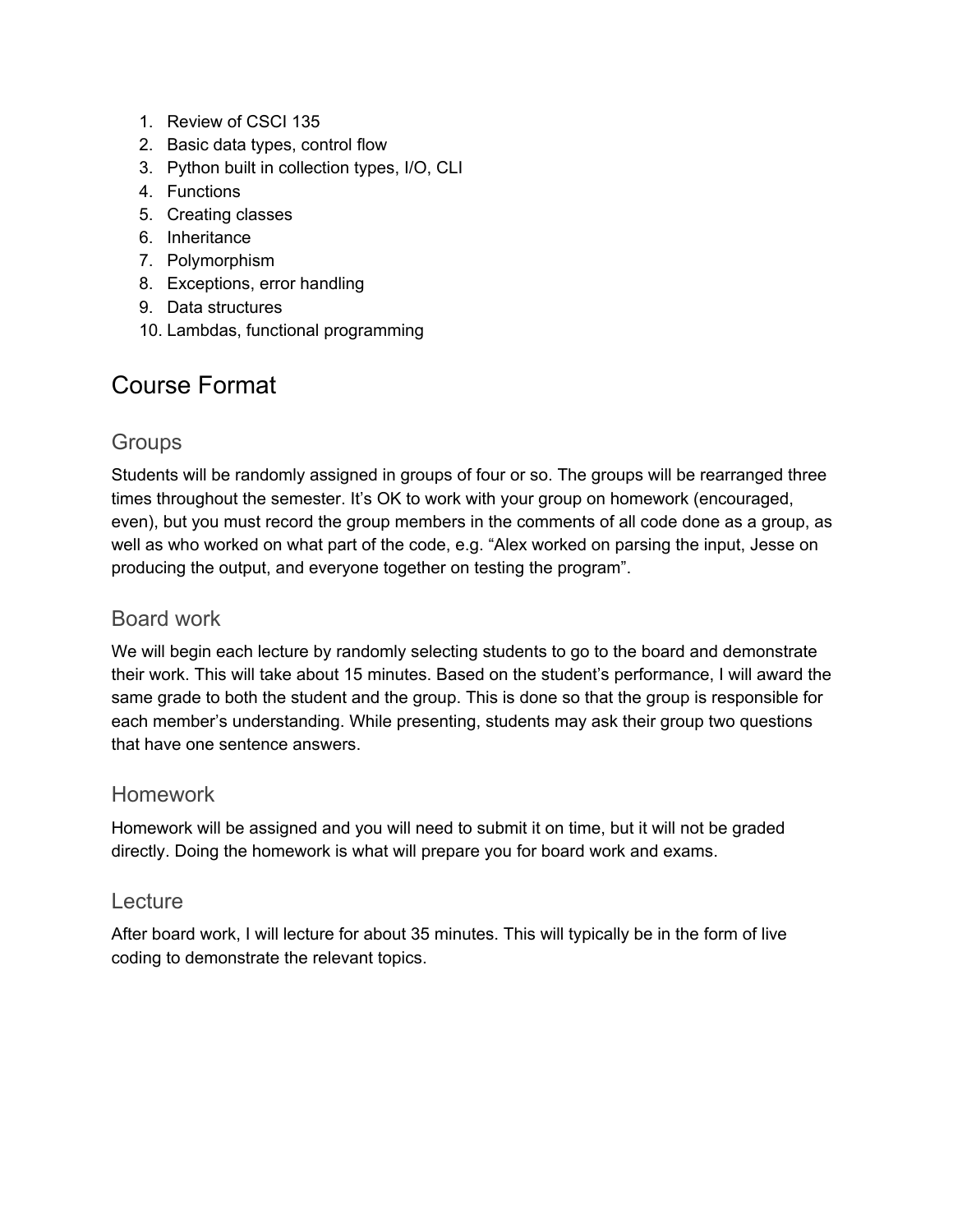- 1. Review of CSCI 135
- 2. Basic data types, control flow
- 3. Python built in collection types, I/O, CLI
- 4. Functions
- 5. Creating classes
- 6. Inheritance
- 7. Polymorphism
- 8. Exceptions, error handling
- 9. Data structures
- 10. Lambdas, functional programming

# Course Format

#### **Groups**

Students will be randomly assigned in groups of four or so. The groups will be rearranged three times throughout the semester. It's OK to work with your group on homework (encouraged, even), but you must record the group members in the comments of all code done as a group, as well as who worked on what part of the code, e.g. "Alex worked on parsing the input, Jesse on producing the output, and everyone together on testing the program".

#### Board work

We will begin each lecture by randomly selecting students to go to the board and demonstrate their work. This will take about 15 minutes. Based on the student's performance, I will award the same grade to both the student and the group. This is done so that the group is responsible for each member's understanding. While presenting, students may ask their group two questions that have one sentence answers.

#### Homework

Homework will be assigned and you will need to submit it on time, but it will not be graded directly. Doing the homework is what will prepare you for board work and exams.

#### **Lecture**

After board work, I will lecture for about 35 minutes. This will typically be in the form of live coding to demonstrate the relevant topics.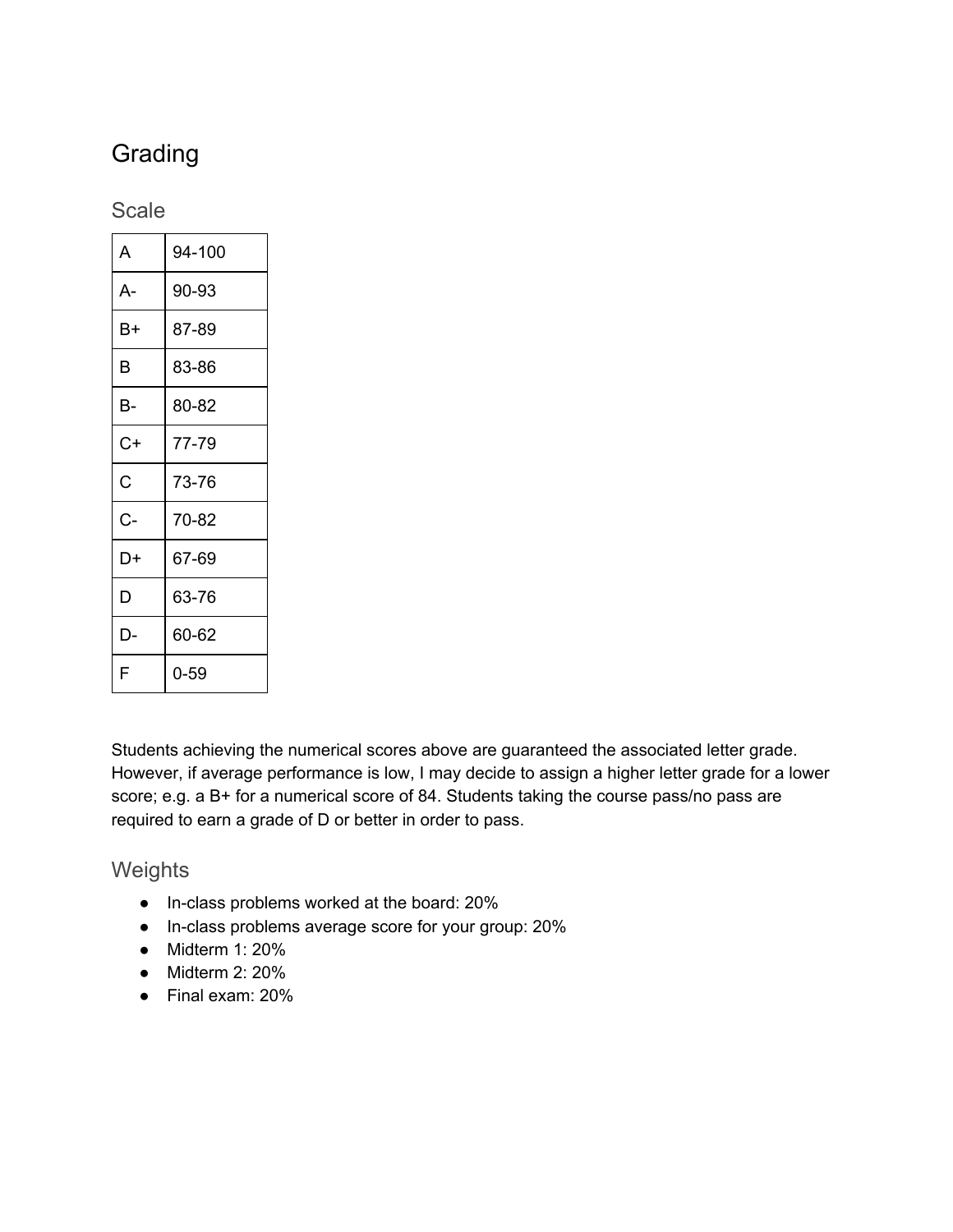# **Grading**

#### **Scale**

| A     | 94-100 |
|-------|--------|
| $A -$ | 90-93  |
| В+    | 87-89  |
| B     | 83-86  |
| В-    | 80-82  |
| C+    | 77-79  |
| Ć     | 73-76  |
| C-    | 70-82  |
| D+    | 67-69  |
| D     | 63-76  |
| D-    | 60-62  |
| F     | 0-59   |

Students achieving the numerical scores above are guaranteed the associated letter grade. However, if average performance is low, I may decide to assign a higher letter grade for a lower score; e.g. a B+ for a numerical score of 84. Students taking the course pass/no pass are required to earn a grade of D or better in order to pass.

#### **Weights**

- In-class problems worked at the board: 20%
- In-class problems average score for your group: 20%
- Midterm 1: 20%
- $\bullet$  Midterm 2: 20%
- Final exam: 20%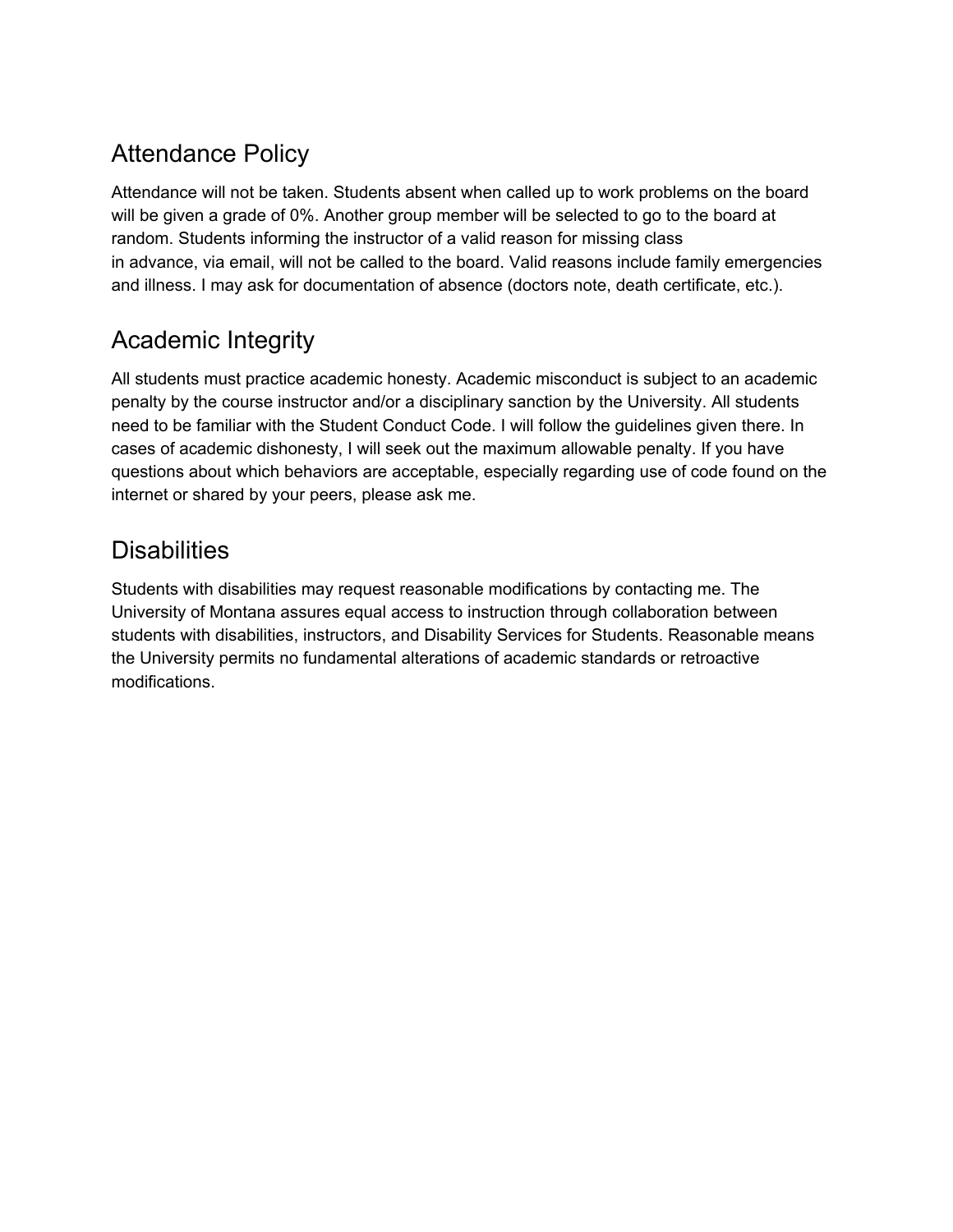# Attendance Policy

Attendance will not be taken. Students absent when called up to work problems on the board will be given a grade of 0%. Another group member will be selected to go to the board at random. Students informing the instructor of a valid reason for missing class in advance, via email, will not be called to the board. Valid reasons include family emergencies and illness. I may ask for documentation of absence (doctors note, death certificate, etc.).

# Academic Integrity

All students must practice academic honesty. Academic misconduct is subject to an academic penalty by the course instructor and/or a disciplinary sanction by the University. All students need to be familiar with the Student Conduct Code. I will follow the guidelines given there. In cases of academic dishonesty, I will seek out the maximum allowable penalty. If you have questions about which behaviors are acceptable, especially regarding use of code found on the internet or shared by your peers, please ask me.

# **Disabilities**

Students with disabilities may request reasonable modifications by contacting me. The University of Montana assures equal access to instruction through collaboration between students with disabilities, instructors, and Disability Services for Students. Reasonable means the University permits no fundamental alterations of academic standards or retroactive modifications.